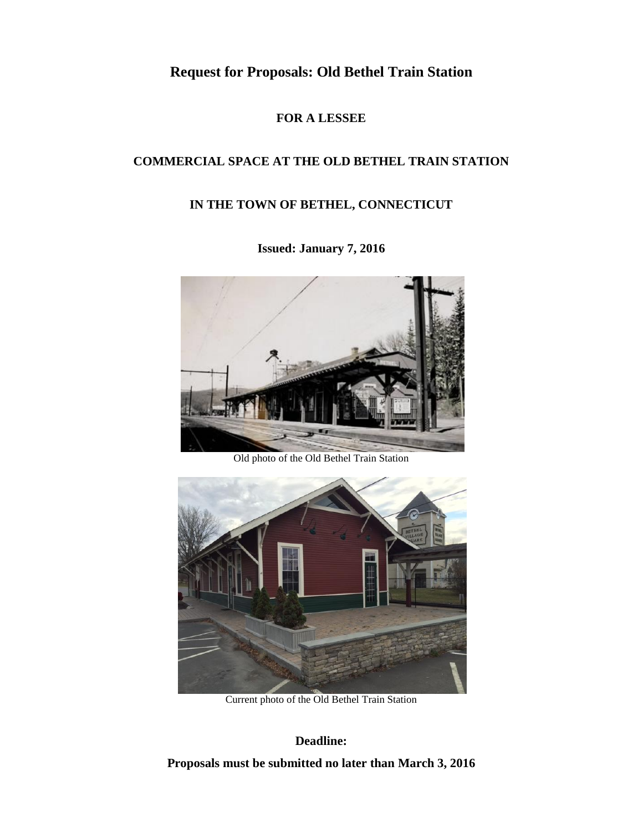# **Request for Proposals: Old Bethel Train Station**

### **FOR A LESSEE**

# **COMMERCIAL SPACE AT THE OLD BETHEL TRAIN STATION**

# **IN THE TOWN OF BETHEL, CONNECTICUT**



# **Issued: January 7, 2016**

Old photo of the Old Bethel Train Station



Current photo of the Old Bethel Train Station

### **Deadline:**

**Proposals must be submitted no later than March 3, 2016**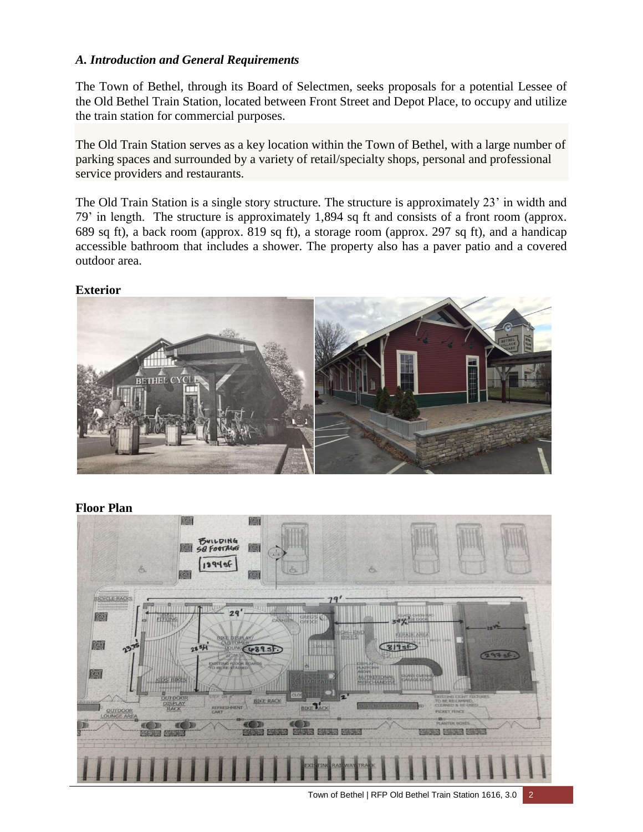#### *A. Introduction and General Requirements*

The Town of Bethel, through its Board of Selectmen, seeks proposals for a potential Lessee of the Old Bethel Train Station, located between Front Street and Depot Place, to occupy and utilize the train station for commercial purposes.

The Old Train Station serves as a key location within the Town of Bethel, with a large number of parking spaces and surrounded by a variety of retail/specialty shops, personal and professional service providers and restaurants.

The Old Train Station is a single story structure. The structure is approximately 23' in width and 79' in length. The structure is approximately 1,894 sq ft and consists of a front room (approx. 689 sq ft), a back room (approx. 819 sq ft), a storage room (approx. 297 sq ft), and a handicap accessible bathroom that includes a shower. The property also has a paver patio and a covered outdoor area.



**Floor Plan**



#### Town of Bethel | RFP Old Bethel Train Station 1616, 3.0 2

#### **Exterior**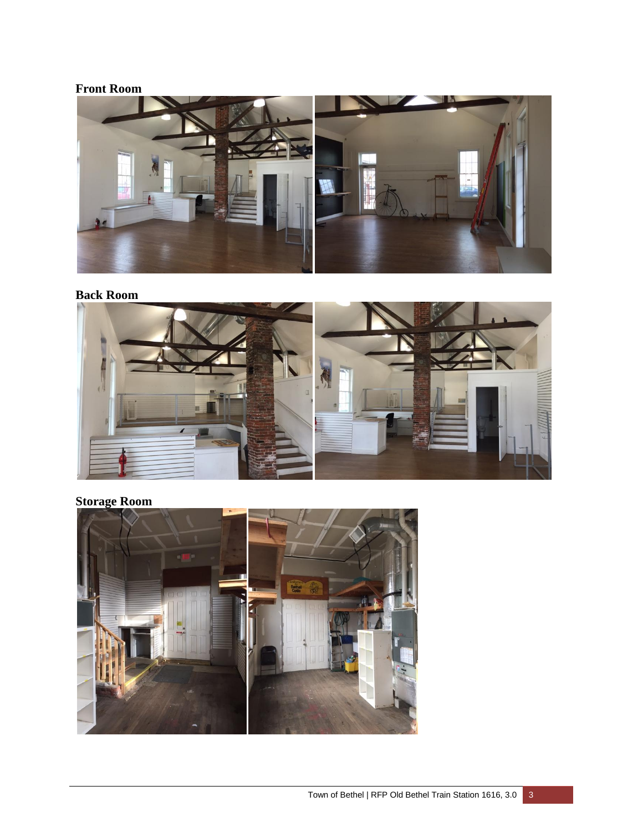# **Front Room**



# **Back Room**



# **Storage Room**

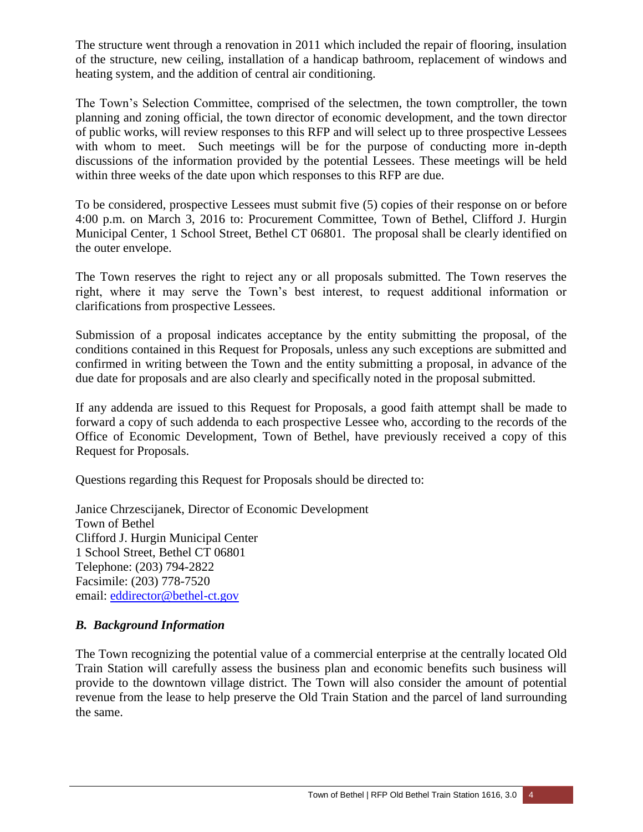The structure went through a renovation in 2011 which included the repair of flooring, insulation of the structure, new ceiling, installation of a handicap bathroom, replacement of windows and heating system, and the addition of central air conditioning.

The Town's Selection Committee, comprised of the selectmen, the town comptroller, the town planning and zoning official, the town director of economic development, and the town director of public works, will review responses to this RFP and will select up to three prospective Lessees with whom to meet. Such meetings will be for the purpose of conducting more in-depth discussions of the information provided by the potential Lessees. These meetings will be held within three weeks of the date upon which responses to this RFP are due.

To be considered, prospective Lessees must submit five (5) copies of their response on or before 4:00 p.m. on March 3, 2016 to: Procurement Committee, Town of Bethel, Clifford J. Hurgin Municipal Center, 1 School Street, Bethel CT 06801. The proposal shall be clearly identified on the outer envelope.

The Town reserves the right to reject any or all proposals submitted. The Town reserves the right, where it may serve the Town's best interest, to request additional information or clarifications from prospective Lessees.

Submission of a proposal indicates acceptance by the entity submitting the proposal, of the conditions contained in this Request for Proposals, unless any such exceptions are submitted and confirmed in writing between the Town and the entity submitting a proposal, in advance of the due date for proposals and are also clearly and specifically noted in the proposal submitted.

If any addenda are issued to this Request for Proposals, a good faith attempt shall be made to forward a copy of such addenda to each prospective Lessee who, according to the records of the Office of Economic Development, Town of Bethel, have previously received a copy of this Request for Proposals.

Questions regarding this Request for Proposals should be directed to:

Janice Chrzescijanek, Director of Economic Development Town of Bethel Clifford J. Hurgin Municipal Center 1 School Street, Bethel CT 06801 Telephone: (203) 794-2822 Facsimile: (203) 778-7520 email: [eddirector@bethel-ct.gov](mailto:eddirector@bethel-ct.gov)

### *B. Background Information*

The Town recognizing the potential value of a commercial enterprise at the centrally located Old Train Station will carefully assess the business plan and economic benefits such business will provide to the downtown village district. The Town will also consider the amount of potential revenue from the lease to help preserve the Old Train Station and the parcel of land surrounding the same.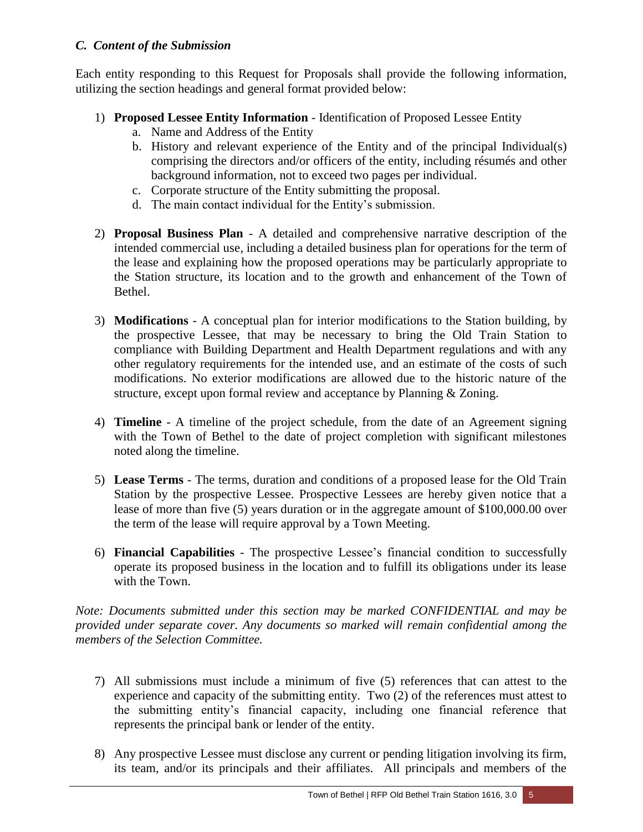### *C. Content of the Submission*

Each entity responding to this Request for Proposals shall provide the following information, utilizing the section headings and general format provided below:

- 1) **Proposed Lessee Entity Information** Identification of Proposed Lessee Entity
	- a. Name and Address of the Entity
	- b. History and relevant experience of the Entity and of the principal Individual(s) comprising the directors and/or officers of the entity, including résumés and other background information, not to exceed two pages per individual.
	- c. Corporate structure of the Entity submitting the proposal.
	- d. The main contact individual for the Entity's submission.
- 2) **Proposal Business Plan** A detailed and comprehensive narrative description of the intended commercial use, including a detailed business plan for operations for the term of the lease and explaining how the proposed operations may be particularly appropriate to the Station structure, its location and to the growth and enhancement of the Town of Bethel.
- 3) **Modifications** A conceptual plan for interior modifications to the Station building, by the prospective Lessee, that may be necessary to bring the Old Train Station to compliance with Building Department and Health Department regulations and with any other regulatory requirements for the intended use, and an estimate of the costs of such modifications. No exterior modifications are allowed due to the historic nature of the structure, except upon formal review and acceptance by Planning & Zoning.
- 4) **Timeline** A timeline of the project schedule, from the date of an Agreement signing with the Town of Bethel to the date of project completion with significant milestones noted along the timeline.
- 5) **Lease Terms** The terms, duration and conditions of a proposed lease for the Old Train Station by the prospective Lessee. Prospective Lessees are hereby given notice that a lease of more than five (5) years duration or in the aggregate amount of \$100,000.00 over the term of the lease will require approval by a Town Meeting.
- 6) **Financial Capabilities** The prospective Lessee's financial condition to successfully operate its proposed business in the location and to fulfill its obligations under its lease with the Town.

*Note: Documents submitted under this section may be marked CONFIDENTIAL and may be provided under separate cover. Any documents so marked will remain confidential among the members of the Selection Committee.*

- 7) All submissions must include a minimum of five (5) references that can attest to the experience and capacity of the submitting entity. Two (2) of the references must attest to the submitting entity's financial capacity, including one financial reference that represents the principal bank or lender of the entity.
- 8) Any prospective Lessee must disclose any current or pending litigation involving its firm, its team, and/or its principals and their affiliates. All principals and members of the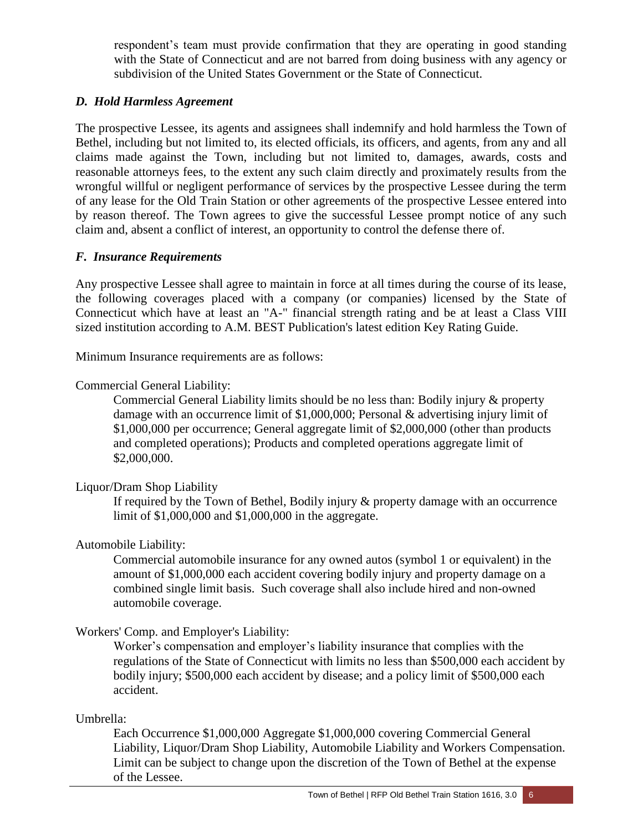respondent's team must provide confirmation that they are operating in good standing with the State of Connecticut and are not barred from doing business with any agency or subdivision of the United States Government or the State of Connecticut.

#### *D. Hold Harmless Agreement*

The prospective Lessee, its agents and assignees shall indemnify and hold harmless the Town of Bethel, including but not limited to, its elected officials, its officers, and agents, from any and all claims made against the Town, including but not limited to, damages, awards, costs and reasonable attorneys fees, to the extent any such claim directly and proximately results from the wrongful willful or negligent performance of services by the prospective Lessee during the term of any lease for the Old Train Station or other agreements of the prospective Lessee entered into by reason thereof. The Town agrees to give the successful Lessee prompt notice of any such claim and, absent a conflict of interest, an opportunity to control the defense there of.

#### *F. Insurance Requirements*

Any prospective Lessee shall agree to maintain in force at all times during the course of its lease, the following coverages placed with a company (or companies) licensed by the State of Connecticut which have at least an "A-" financial strength rating and be at least a Class VIII sized institution according to A.M. BEST Publication's latest edition Key Rating Guide.

Minimum Insurance requirements are as follows:

#### Commercial General Liability:

Commercial General Liability limits should be no less than: Bodily injury & property damage with an occurrence limit of \$1,000,000; Personal & advertising injury limit of \$1,000,000 per occurrence; General aggregate limit of \$2,000,000 (other than products and completed operations); Products and completed operations aggregate limit of \$2,000,000.

#### Liquor/Dram Shop Liability

If required by the Town of Bethel, Bodily injury & property damage with an occurrence limit of \$1,000,000 and \$1,000,000 in the aggregate.

### Automobile Liability:

Commercial automobile insurance for any owned autos (symbol 1 or equivalent) in the amount of \$1,000,000 each accident covering bodily injury and property damage on a combined single limit basis. Such coverage shall also include hired and non-owned automobile coverage.

### Workers' Comp. and Employer's Liability:

Worker's compensation and employer's liability insurance that complies with the regulations of the State of Connecticut with limits no less than \$500,000 each accident by bodily injury; \$500,000 each accident by disease; and a policy limit of \$500,000 each accident.

#### Umbrella:

Each Occurrence \$1,000,000 Aggregate \$1,000,000 covering Commercial General Liability, Liquor/Dram Shop Liability, Automobile Liability and Workers Compensation. Limit can be subject to change upon the discretion of the Town of Bethel at the expense of the Lessee.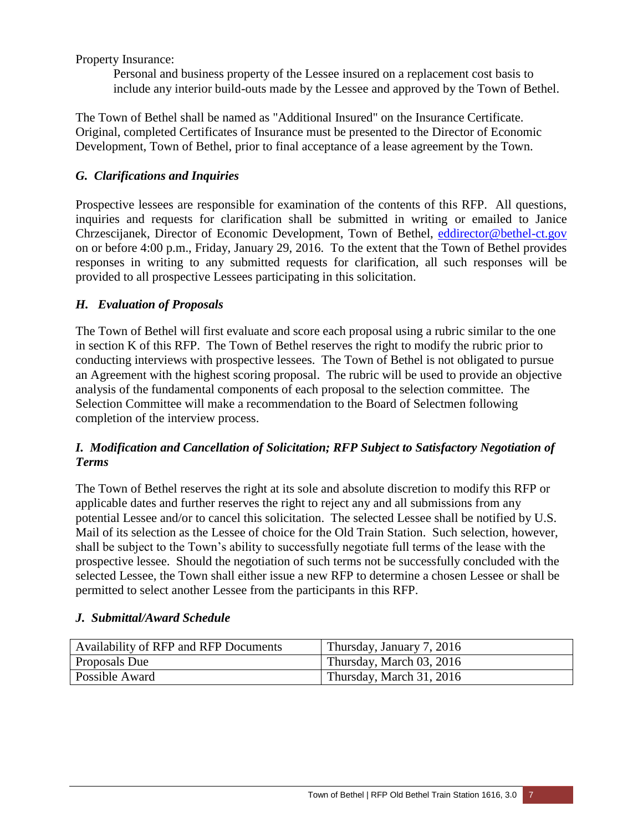Property Insurance:

Personal and business property of the Lessee insured on a replacement cost basis to include any interior build-outs made by the Lessee and approved by the Town of Bethel.

The Town of Bethel shall be named as "Additional Insured" on the Insurance Certificate. Original, completed Certificates of Insurance must be presented to the Director of Economic Development, Town of Bethel, prior to final acceptance of a lease agreement by the Town.

# *G. Clarifications and Inquiries*

Prospective lessees are responsible for examination of the contents of this RFP. All questions, inquiries and requests for clarification shall be submitted in writing or emailed to Janice Chrzescijanek, Director of Economic Development, Town of Bethel, [eddirector@bethel-ct.gov](mailto:eddirector@bethel-ct.gov) on or before 4:00 p.m., Friday, January 29, 2016. To the extent that the Town of Bethel provides responses in writing to any submitted requests for clarification, all such responses will be provided to all prospective Lessees participating in this solicitation.

### *H. Evaluation of Proposals*

The Town of Bethel will first evaluate and score each proposal using a rubric similar to the one in section K of this RFP. The Town of Bethel reserves the right to modify the rubric prior to conducting interviews with prospective lessees. The Town of Bethel is not obligated to pursue an Agreement with the highest scoring proposal. The rubric will be used to provide an objective analysis of the fundamental components of each proposal to the selection committee. The Selection Committee will make a recommendation to the Board of Selectmen following completion of the interview process.

# *I. Modification and Cancellation of Solicitation; RFP Subject to Satisfactory Negotiation of Terms*

The Town of Bethel reserves the right at its sole and absolute discretion to modify this RFP or applicable dates and further reserves the right to reject any and all submissions from any potential Lessee and/or to cancel this solicitation. The selected Lessee shall be notified by U.S. Mail of its selection as the Lessee of choice for the Old Train Station. Such selection, however, shall be subject to the Town's ability to successfully negotiate full terms of the lease with the prospective lessee. Should the negotiation of such terms not be successfully concluded with the selected Lessee, the Town shall either issue a new RFP to determine a chosen Lessee or shall be permitted to select another Lessee from the participants in this RFP.

### *J. Submittal/Award Schedule*

| Availability of RFP and RFP Documents | Thursday, January 7, 2016 |
|---------------------------------------|---------------------------|
| <b>Proposals Due</b>                  | Thursday, March 03, 2016  |
| <b>Possible Award</b>                 | Thursday, March 31, 2016  |